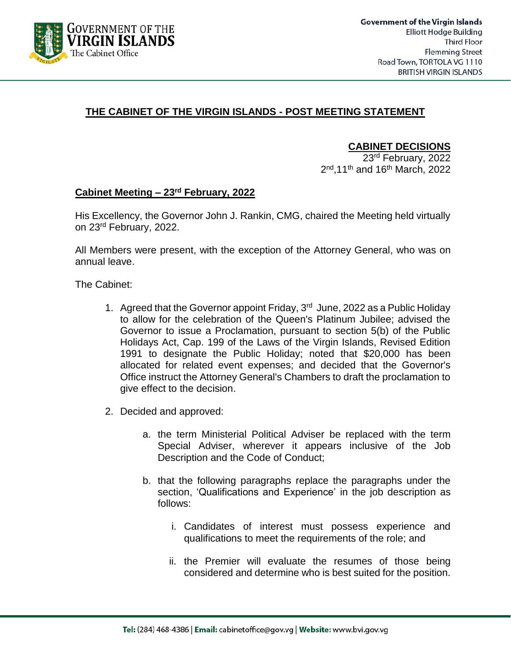

## **THE CABINET OF THE VIRGIN ISLANDS - POST MEETING STATEMENT**

#### **CABINET DECISIONS**

23rd February, 2022 2<sup>nd</sup>,11<sup>th</sup> and 16<sup>th</sup> March, 2022

#### **Cabinet Meeting – 23rd February, 2022**

His Excellency, the Governor John J. Rankin, CMG, chaired the Meeting held virtually on 23<sup>rd</sup> February, 2022.

All Members were present, with the exception of the Attorney General, who was on annual leave.

The Cabinet:

- 1. Agreed that the Governor appoint Friday,  $3<sup>rd</sup>$  June, 2022 as a Public Holiday to allow for the celebration of the Queen's Platinum Jubilee; advised the Governor to issue a Proclamation, pursuant to section 5(b) of the Public Holidays Act, Cap. 199 of the Laws of the Virgin Islands, Revised Edition 1991 to designate the Public Holiday; noted that \$20,000 has been allocated for related event expenses; and decided that the Governor's Office instruct the Attorney General's Chambers to draft the proclamation to give effect to the decision.
- 2. Decided and approved:
	- a. the term Ministerial Political Adviser be replaced with the term Special Adviser, wherever it appears inclusive of the Job Description and the Code of Conduct;
	- b. that the following paragraphs replace the paragraphs under the section, 'Qualifications and Experience' in the job description as follows:
		- i. Candidates of interest must possess experience and qualifications to meet the requirements of the role; and
		- ii. the Premier will evaluate the resumes of those being considered and determine who is best suited for the position.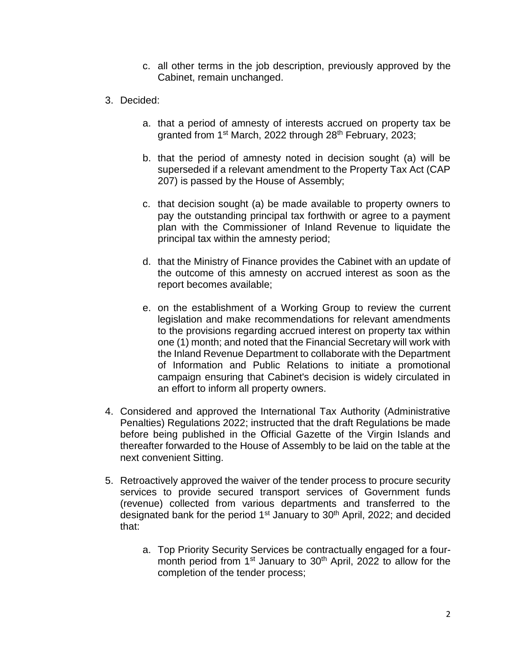- c. all other terms in the job description, previously approved by the Cabinet, remain unchanged.
- 3. Decided:
	- a. that a period of amnesty of interests accrued on property tax be granted from 1<sup>st</sup> March, 2022 through 28<sup>th</sup> February, 2023;
	- b. that the period of amnesty noted in decision sought (a) will be superseded if a relevant amendment to the Property Tax Act (CAP 207) is passed by the House of Assembly;
	- c. that decision sought (a) be made available to property owners to pay the outstanding principal tax forthwith or agree to a payment plan with the Commissioner of Inland Revenue to liquidate the principal tax within the amnesty period;
	- d. that the Ministry of Finance provides the Cabinet with an update of the outcome of this amnesty on accrued interest as soon as the report becomes available;
	- e. on the establishment of a Working Group to review the current legislation and make recommendations for relevant amendments to the provisions regarding accrued interest on property tax within one (1) month; and noted that the Financial Secretary will work with the Inland Revenue Department to collaborate with the Department of Information and Public Relations to initiate a promotional campaign ensuring that Cabinet's decision is widely circulated in an effort to inform all property owners.
- 4. Considered and approved the International Tax Authority (Administrative Penalties) Regulations 2022; instructed that the draft Regulations be made before being published in the Official Gazette of the Virgin Islands and thereafter forwarded to the House of Assembly to be laid on the table at the next convenient Sitting.
- 5. Retroactively approved the waiver of the tender process to procure security services to provide secured transport services of Government funds (revenue) collected from various departments and transferred to the designated bank for the period 1<sup>st</sup> January to 30<sup>th</sup> April, 2022; and decided that:
	- a. Top Priority Security Services be contractually engaged for a fourmonth period from  $1<sup>st</sup>$  January to  $30<sup>th</sup>$  April, 2022 to allow for the completion of the tender process;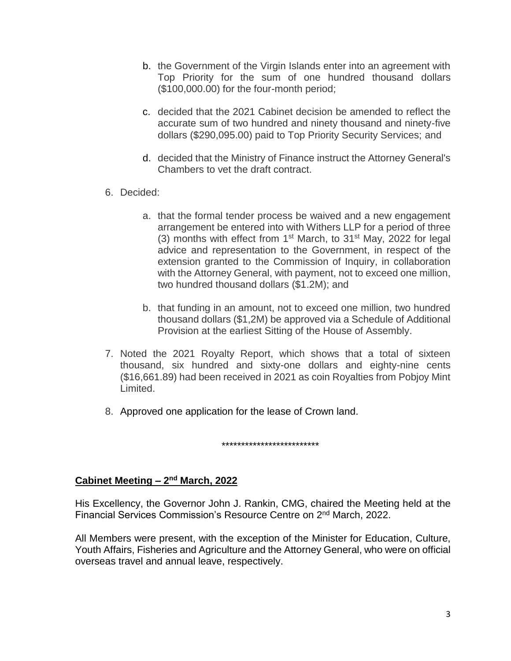- b. the Government of the Virgin Islands enter into an agreement with Top Priority for the sum of one hundred thousand dollars (\$100,000.00) for the four-month period;
- c. decided that the 2021 Cabinet decision be amended to reflect the accurate sum of two hundred and ninety thousand and ninety-five dollars (\$290,095.00) paid to Top Priority Security Services; and
- d. decided that the Ministry of Finance instruct the Attorney General's Chambers to vet the draft contract.
- 6. Decided:
	- a. that the formal tender process be waived and a new engagement arrangement be entered into with Withers LLP for a period of three (3) months with effect from  $1<sup>st</sup>$  March, to  $31<sup>st</sup>$  May, 2022 for legal advice and representation to the Government, in respect of the extension granted to the Commission of Inquiry, in collaboration with the Attorney General, with payment, not to exceed one million, two hundred thousand dollars (\$1.2M); and
	- b. that funding in an amount, not to exceed one million, two hundred thousand dollars (\$1,2M) be approved via a Schedule of Additional Provision at the earliest Sitting of the House of Assembly.
- 7. Noted the 2021 Royalty Report, which shows that a total of sixteen thousand, six hundred and sixty-one dollars and eighty-nine cents (\$16,661.89) had been received in 2021 as coin Royalties from Pobjoy Mint Limited.
- 8. Approved one application for the lease of Crown land.

\*\*\*\*\*\*\*\*\*\*\*\*\*\*\*\*\*\*\*\*\*\*\*\*\*

#### **Cabinet Meeting - 2<sup>nd</sup> March, 2022**

His Excellency, the Governor John J. Rankin, CMG, chaired the Meeting held at the Financial Services Commission's Resource Centre on 2<sup>nd</sup> March, 2022.

All Members were present, with the exception of the Minister for Education, Culture, Youth Affairs, Fisheries and Agriculture and the Attorney General, who were on official overseas travel and annual leave, respectively.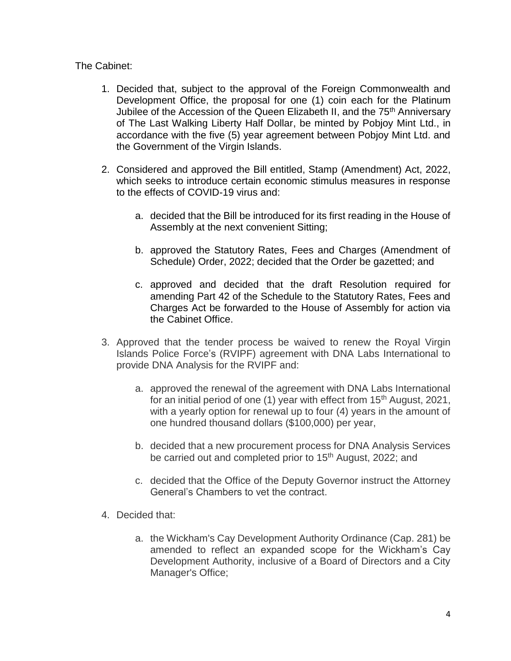### The Cabinet:

- 1. Decided that, subject to the approval of the Foreign Commonwealth and Development Office, the proposal for one (1) coin each for the Platinum Jubilee of the Accession of the Queen Elizabeth II, and the 75<sup>th</sup> Anniversary of The Last Walking Liberty Half Dollar, be minted by Pobjoy Mint Ltd., in accordance with the five (5) year agreement between Pobjoy Mint Ltd. and the Government of the Virgin Islands.
- 2. Considered and approved the Bill entitled, Stamp (Amendment) Act, 2022, which seeks to introduce certain economic stimulus measures in response to the effects of COVID-19 virus and:
	- a. decided that the Bill be introduced for its first reading in the House of Assembly at the next convenient Sitting;
	- b. approved the Statutory Rates, Fees and Charges (Amendment of Schedule) Order, 2022; decided that the Order be gazetted; and
	- c. approved and decided that the draft Resolution required for amending Part 42 of the Schedule to the Statutory Rates, Fees and Charges Act be forwarded to the House of Assembly for action via the Cabinet Office.
- 3. Approved that the tender process be waived to renew the Royal Virgin Islands Police Force's (RVIPF) agreement with DNA Labs International to provide DNA Analysis for the RVIPF and:
	- a. approved the renewal of the agreement with DNA Labs International for an initial period of one  $(1)$  year with effect from  $15<sup>th</sup>$  August, 2021, with a yearly option for renewal up to four (4) years in the amount of one hundred thousand dollars (\$100,000) per year,
	- b. decided that a new procurement process for DNA Analysis Services be carried out and completed prior to 15<sup>th</sup> August, 2022; and
	- c. decided that the Office of the Deputy Governor instruct the Attorney General's Chambers to vet the contract.
- 4. Decided that:
	- a. the Wickham's Cay Development Authority Ordinance (Cap. 281) be amended to reflect an expanded scope for the Wickham's Cay Development Authority, inclusive of a Board of Directors and a City Manager's Office;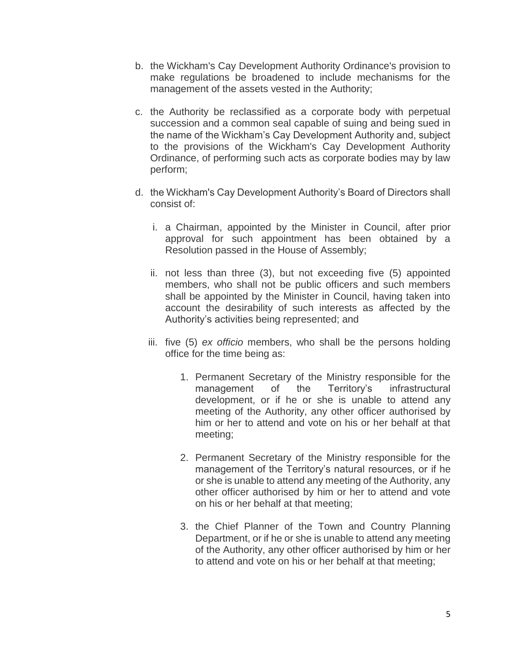- b. the Wickham's Cay Development Authority Ordinance's provision to make regulations be broadened to include mechanisms for the management of the assets vested in the Authority;
- c. the Authority be reclassified as a corporate body with perpetual succession and a common seal capable of suing and being sued in the name of the Wickham's Cay Development Authority and, subject to the provisions of the Wickham's Cay Development Authority Ordinance, of performing such acts as corporate bodies may by law perform;
- d. the Wickham's Cay Development Authority's Board of Directors shall consist of:
	- i. a Chairman, appointed by the Minister in Council, after prior approval for such appointment has been obtained by a Resolution passed in the House of Assembly;
	- ii. not less than three (3), but not exceeding five (5) appointed members, who shall not be public officers and such members shall be appointed by the Minister in Council, having taken into account the desirability of such interests as affected by the Authority's activities being represented; and
	- iii. five (5) *ex officio* members, who shall be the persons holding office for the time being as:
		- 1. Permanent Secretary of the Ministry responsible for the management of the Territory's infrastructural development, or if he or she is unable to attend any meeting of the Authority, any other officer authorised by him or her to attend and vote on his or her behalf at that meeting;
		- 2. Permanent Secretary of the Ministry responsible for the management of the Territory's natural resources, or if he or she is unable to attend any meeting of the Authority, any other officer authorised by him or her to attend and vote on his or her behalf at that meeting;
		- 3. the Chief Planner of the Town and Country Planning Department, or if he or she is unable to attend any meeting of the Authority, any other officer authorised by him or her to attend and vote on his or her behalf at that meeting;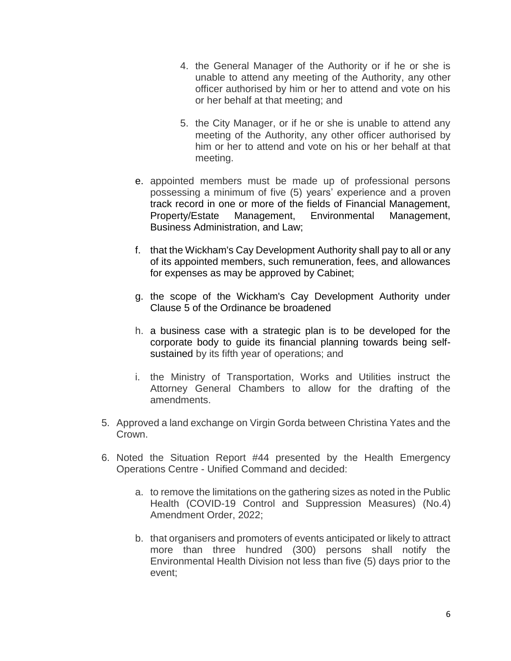- 4. the General Manager of the Authority or if he or she is unable to attend any meeting of the Authority, any other officer authorised by him or her to attend and vote on his or her behalf at that meeting; and
- 5. the City Manager, or if he or she is unable to attend any meeting of the Authority, any other officer authorised by him or her to attend and vote on his or her behalf at that meeting.
- e. appointed members must be made up of professional persons possessing a minimum of five (5) years' experience and a proven track record in one or more of the fields of Financial Management, Property/Estate Management, Environmental Management, Business Administration, and Law;
- f. that the Wickham's Cay Development Authority shall pay to all or any of its appointed members, such remuneration, fees, and allowances for expenses as may be approved by Cabinet;
- g. the scope of the Wickham's Cay Development Authority under Clause 5 of the Ordinance be broadened
- h. a business case with a strategic plan is to be developed for the corporate body to guide its financial planning towards being selfsustained by its fifth year of operations; and
- i. the Ministry of Transportation, Works and Utilities instruct the Attorney General Chambers to allow for the drafting of the amendments.
- 5. Approved a land exchange on Virgin Gorda between Christina Yates and the Crown.
- 6. Noted the Situation Report #44 presented by the Health Emergency Operations Centre - Unified Command and decided:
	- a. to remove the limitations on the gathering sizes as noted in the Public Health (COVID-19 Control and Suppression Measures) (No.4) Amendment Order, 2022;
	- b. that organisers and promoters of events anticipated or likely to attract more than three hundred (300) persons shall notify the Environmental Health Division not less than five (5) days prior to the event;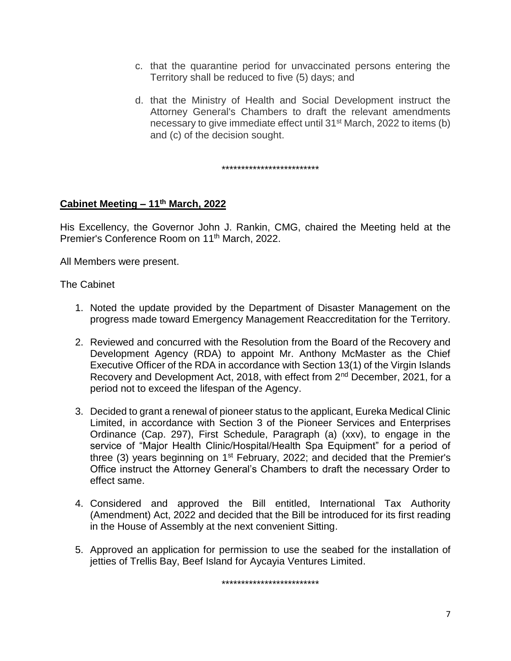- c. that the quarantine period for unvaccinated persons entering the Territory shall be reduced to five (5) days; and
- d. that the Ministry of Health and Social Development instruct the Attorney General's Chambers to draft the relevant amendments necessary to give immediate effect until 31st March, 2022 to items (b) and (c) of the decision sought.

\*\*\*\*\*\*\*\*\*\*\*\*\*\*\*\*\*\*\*\*\*\*\*\*\*

## **Cabinet Meeting – 11th March, 2022**

His Excellency, the Governor John J. Rankin, CMG, chaired the Meeting held at the Premier's Conference Room on 11th March, 2022.

All Members were present.

The Cabinet

- 1. Noted the update provided by the Department of Disaster Management on the progress made toward Emergency Management Reaccreditation for the Territory.
- 2. Reviewed and concurred with the Resolution from the Board of the Recovery and Development Agency (RDA) to appoint Mr. Anthony McMaster as the Chief Executive Officer of the RDA in accordance with Section 13(1) of the Virgin Islands Recovery and Development Act, 2018, with effect from 2<sup>nd</sup> December, 2021, for a period not to exceed the lifespan of the Agency.
- 3. Decided to grant a renewal of pioneer status to the applicant, Eureka Medical Clinic Limited, in accordance with Section 3 of the Pioneer Services and Enterprises Ordinance (Cap. 297), First Schedule, Paragraph (a) (xxv), to engage in the service of "Major Health Clinic/Hospital/Health Spa Equipment" for a period of three (3) years beginning on  $1<sup>st</sup>$  February, 2022; and decided that the Premier's Office instruct the Attorney General's Chambers to draft the necessary Order to effect same.
- 4. Considered and approved the Bill entitled, International Tax Authority (Amendment) Act, 2022 and decided that the Bill be introduced for its first reading in the House of Assembly at the next convenient Sitting.
- 5. Approved an application for permission to use the seabed for the installation of jetties of Trellis Bay, Beef Island for Aycayia Ventures Limited.

\*\*\*\*\*\*\*\*\*\*\*\*\*\*\*\*\*\*\*\*\*\*\*\*\*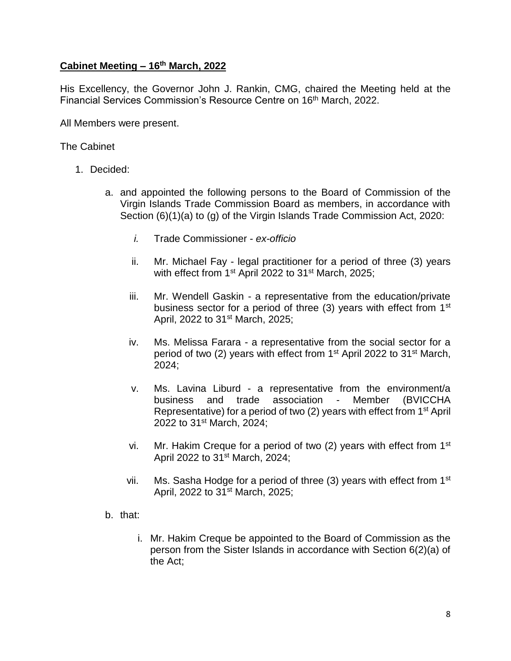## **Cabinet Meeting – 16th March, 2022**

His Excellency, the Governor John J. Rankin, CMG, chaired the Meeting held at the Financial Services Commission's Resource Centre on 16<sup>th</sup> March, 2022.

All Members were present.

The Cabinet

- 1. Decided:
	- a. and appointed the following persons to the Board of Commission of the Virgin Islands Trade Commission Board as members, in accordance with Section (6)(1)(a) to (g) of the Virgin Islands Trade Commission Act, 2020:
		- *i.* Trade Commissioner *ex-officio*
		- ii. Mr. Michael Fay legal practitioner for a period of three (3) years with effect from 1<sup>st</sup> April 2022 to 31<sup>st</sup> March, 2025;
		- iii. Mr. Wendell Gaskin a representative from the education/private business sector for a period of three (3) years with effect from 1<sup>st</sup> April, 2022 to 31<sup>st</sup> March, 2025;
		- iv. Ms. Melissa Farara a representative from the social sector for a period of two (2) years with effect from 1<sup>st</sup> April 2022 to 31<sup>st</sup> March, 2024;
		- v. Ms. Lavina Liburd a representative from the environment/a business and trade association - Member (BVICCHA Representative) for a period of two (2) years with effect from 1st April 2022 to 31st March, 2024;
		- vi. Mr. Hakim Creque for a period of two  $(2)$  years with effect from 1<sup>st</sup> April 2022 to 31<sup>st</sup> March, 2024;
		- vii. Ms. Sasha Hodge for a period of three  $(3)$  years with effect from 1<sup>st</sup> April, 2022 to 31st March, 2025;
	- b. that:
		- i. Mr. Hakim Creque be appointed to the Board of Commission as the person from the Sister Islands in accordance with Section 6(2)(a) of the Act;